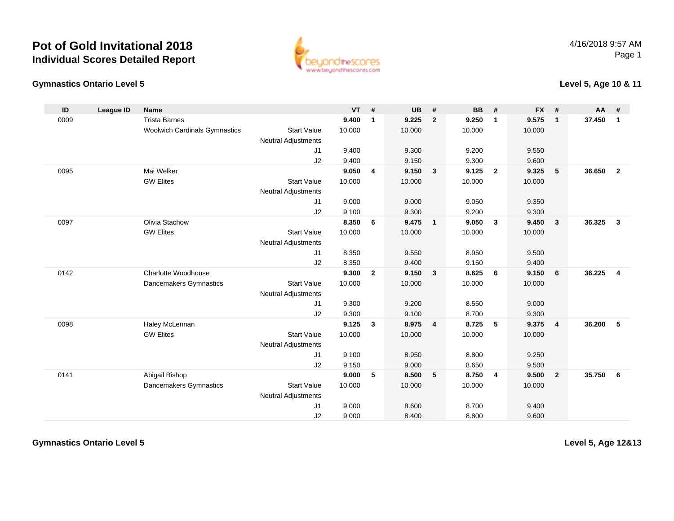## **Pot of Gold Invitational 2018Individual Scores Detailed Report**



## **Gymnastics Ontario Level 5**

## **Level 5, Age 10 & 11**

| ID   | <b>League ID</b> | <b>Name</b>                          |                            | <b>VT</b> | #              | <b>UB</b> | #              | <b>BB</b> | #                       | <b>FX</b> | #              | AA     | #              |
|------|------------------|--------------------------------------|----------------------------|-----------|----------------|-----------|----------------|-----------|-------------------------|-----------|----------------|--------|----------------|
| 0009 |                  | <b>Trista Barnes</b>                 |                            | 9.400     | 1              | 9.225     | $\overline{2}$ | 9.250     | $\mathbf{1}$            | 9.575     | $\mathbf{1}$   | 37.450 | $\mathbf{1}$   |
|      |                  | <b>Woolwich Cardinals Gymnastics</b> | <b>Start Value</b>         | 10.000    |                | 10.000    |                | 10.000    |                         | 10.000    |                |        |                |
|      |                  |                                      | <b>Neutral Adjustments</b> |           |                |           |                |           |                         |           |                |        |                |
|      |                  |                                      | J1                         | 9.400     |                | 9.300     |                | 9.200     |                         | 9.550     |                |        |                |
|      |                  |                                      | J2                         | 9.400     |                | 9.150     |                | 9.300     |                         | 9.600     |                |        |                |
| 0095 |                  | Mai Welker                           |                            | 9.050     | 4              | 9.150     | $\mathbf{3}$   | 9.125     | $\overline{2}$          | 9.325     | 5              | 36.650 | $\overline{2}$ |
|      |                  | <b>GW Elites</b>                     | <b>Start Value</b>         | 10.000    |                | 10.000    |                | 10.000    |                         | 10.000    |                |        |                |
|      |                  |                                      | <b>Neutral Adjustments</b> |           |                |           |                |           |                         |           |                |        |                |
|      |                  |                                      | J1                         | 9.000     |                | 9.000     |                | 9.050     |                         | 9.350     |                |        |                |
|      |                  |                                      | J2                         | 9.100     |                | 9.300     |                | 9.200     |                         | 9.300     |                |        |                |
| 0097 |                  | Olivia Stachow                       |                            | 8.350     | 6              | 9.475     | $\mathbf{1}$   | 9.050     | $\overline{\mathbf{3}}$ | 9.450     | $\mathbf{3}$   | 36.325 | $\mathbf{3}$   |
|      |                  | <b>GW Elites</b>                     | <b>Start Value</b>         | 10.000    |                | 10.000    |                | 10.000    |                         | 10.000    |                |        |                |
|      |                  |                                      | <b>Neutral Adjustments</b> |           |                |           |                |           |                         |           |                |        |                |
|      |                  |                                      | J1                         | 8.350     |                | 9.550     |                | 8.950     |                         | 9.500     |                |        |                |
|      |                  |                                      | J2                         | 8.350     |                | 9.400     |                | 9.150     |                         | 9.400     |                |        |                |
| 0142 |                  | Charlotte Woodhouse                  |                            | 9.300     | $\overline{2}$ | 9.150     | $\mathbf{3}$   | 8.625     | 6                       | 9.150     | 6              | 36.225 | $\overline{4}$ |
|      |                  | Dancemakers Gymnastics               | <b>Start Value</b>         | 10.000    |                | 10.000    |                | 10.000    |                         | 10.000    |                |        |                |
|      |                  |                                      | <b>Neutral Adjustments</b> |           |                |           |                |           |                         |           |                |        |                |
|      |                  |                                      | J1                         | 9.300     |                | 9.200     |                | 8.550     |                         | 9.000     |                |        |                |
|      |                  |                                      | J2                         | 9.300     |                | 9.100     |                | 8.700     |                         | 9.300     |                |        |                |
| 0098 |                  | Haley McLennan                       |                            | 9.125     | 3              | 8.975     | $\overline{4}$ | 8.725     | 5                       | 9.375     | $\overline{4}$ | 36.200 | 5              |
|      |                  | <b>GW Elites</b>                     | <b>Start Value</b>         | 10.000    |                | 10.000    |                | 10.000    |                         | 10.000    |                |        |                |
|      |                  |                                      | <b>Neutral Adjustments</b> |           |                |           |                |           |                         |           |                |        |                |
|      |                  |                                      | J1                         | 9.100     |                | 8.950     |                | 8.800     |                         | 9.250     |                |        |                |
|      |                  |                                      | J2                         | 9.150     |                | 9.000     |                | 8.650     |                         | 9.500     |                |        |                |
| 0141 |                  | Abigail Bishop                       |                            | 9.000     | 5              | 8.500     | 5              | 8.750     | $\overline{\mathbf{4}}$ | 9.500     | $\overline{2}$ | 35.750 | 6              |
|      |                  | <b>Dancemakers Gymnastics</b>        | <b>Start Value</b>         | 10.000    |                | 10.000    |                | 10.000    |                         | 10.000    |                |        |                |
|      |                  |                                      | Neutral Adjustments        |           |                |           |                |           |                         |           |                |        |                |
|      |                  |                                      | J1                         | 9.000     |                | 8.600     |                | 8.700     |                         | 9.400     |                |        |                |
|      |                  |                                      | J2                         | 9.000     |                | 8.400     |                | 8.800     |                         | 9.600     |                |        |                |

**Gymnastics Ontario Level 5**

**Level 5, Age 12&13**